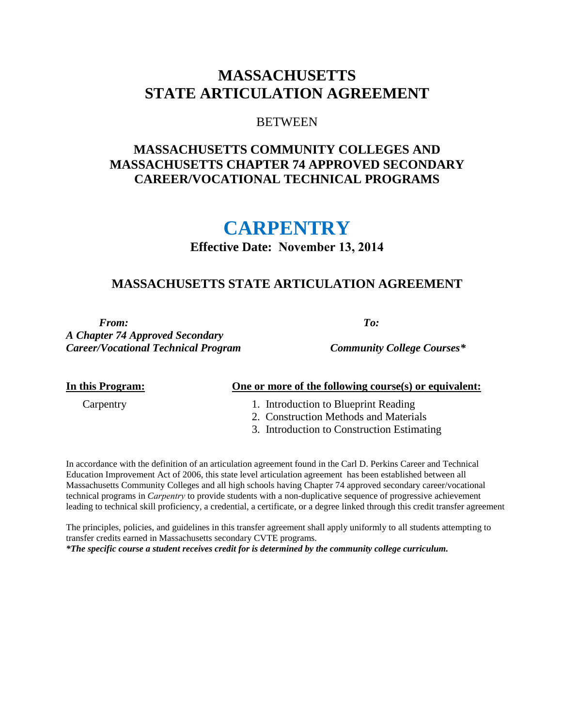## **MASSACHUSETTS STATE ARTICULATION AGREEMENT**

#### **BETWEEN**

## **MASSACHUSETTS COMMUNITY COLLEGES AND MASSACHUSETTS CHAPTER 74 APPROVED SECONDARY CAREER/VOCATIONAL TECHNICAL PROGRAMS**

# **CARPENTRY**

## **Effective Date: November 13, 2014**

## **MASSACHUSETTS STATE ARTICULATION AGREEMENT**

*From: To:* 

*A Chapter 74 Approved Secondary Career/Vocational Technical Program Community College Courses\**

#### **In this Program: One or more of the following course(s) or equivalent:**

- Carpentry 1. Introduction to Blueprint Reading
	- 2. Construction Methods and Materials
	- 3. Introduction to Construction Estimating

In accordance with the definition of an articulation agreement found in the Carl D. Perkins Career and Technical Education Improvement Act of 2006, this state level articulation agreement has been established between all Massachusetts Community Colleges and all high schools having Chapter 74 approved secondary career/vocational technical programs in *Carpentry* to provide students with a non-duplicative sequence of progressive achievement leading to technical skill proficiency, a credential, a certificate, or a degree linked through this credit transfer agreement

The principles, policies, and guidelines in this transfer agreement shall apply uniformly to all students attempting to transfer credits earned in Massachusetts secondary CVTE programs. *\*The specific course a student receives credit for is determined by the community college curriculum.*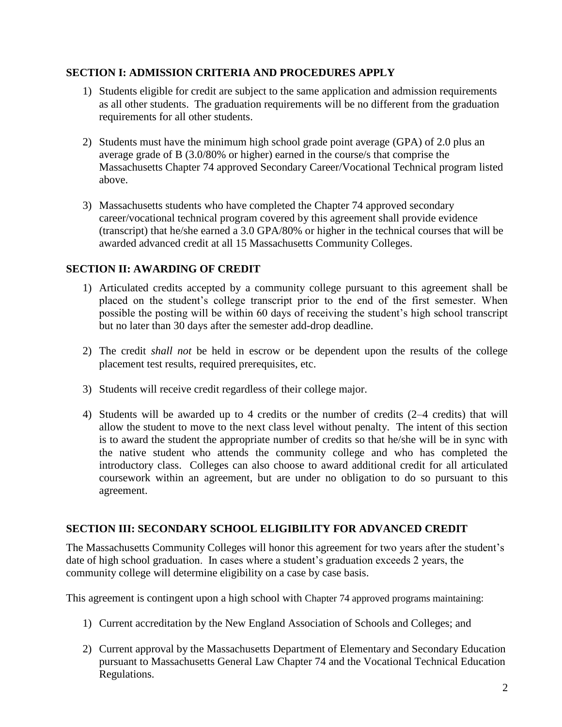#### **SECTION I: ADMISSION CRITERIA AND PROCEDURES APPLY**

- 1) Students eligible for credit are subject to the same application and admission requirements as all other students. The graduation requirements will be no different from the graduation requirements for all other students.
- 2) Students must have the minimum high school grade point average (GPA) of 2.0 plus an average grade of B (3.0/80% or higher) earned in the course/s that comprise the Massachusetts Chapter 74 approved Secondary Career/Vocational Technical program listed above.
- 3) Massachusetts students who have completed the Chapter 74 approved secondary career/vocational technical program covered by this agreement shall provide evidence (transcript) that he/she earned a 3.0 GPA/80% or higher in the technical courses that will be awarded advanced credit at all 15 Massachusetts Community Colleges.

## **SECTION II: AWARDING OF CREDIT**

- 1) Articulated credits accepted by a community college pursuant to this agreement shall be placed on the student's college transcript prior to the end of the first semester. When possible the posting will be within 60 days of receiving the student's high school transcript but no later than 30 days after the semester add-drop deadline.
- 2) The credit *shall not* be held in escrow or be dependent upon the results of the college placement test results, required prerequisites, etc.
- 3) Students will receive credit regardless of their college major.
- 4) Students will be awarded up to 4 credits or the number of credits (2–4 credits) that will allow the student to move to the next class level without penalty. The intent of this section is to award the student the appropriate number of credits so that he/she will be in sync with the native student who attends the community college and who has completed the introductory class. Colleges can also choose to award additional credit for all articulated coursework within an agreement, but are under no obligation to do so pursuant to this agreement.

## **SECTION III: SECONDARY SCHOOL ELIGIBILITY FOR ADVANCED CREDIT**

The Massachusetts Community Colleges will honor this agreement for two years after the student's date of high school graduation. In cases where a student's graduation exceeds 2 years, the community college will determine eligibility on a case by case basis.

This agreement is contingent upon a high school with Chapter 74 approved programs maintaining:

- 1) Current accreditation by the New England Association of Schools and Colleges; and
- 2) Current approval by the Massachusetts Department of Elementary and Secondary Education pursuant to Massachusetts General Law Chapter 74 and the Vocational Technical Education Regulations.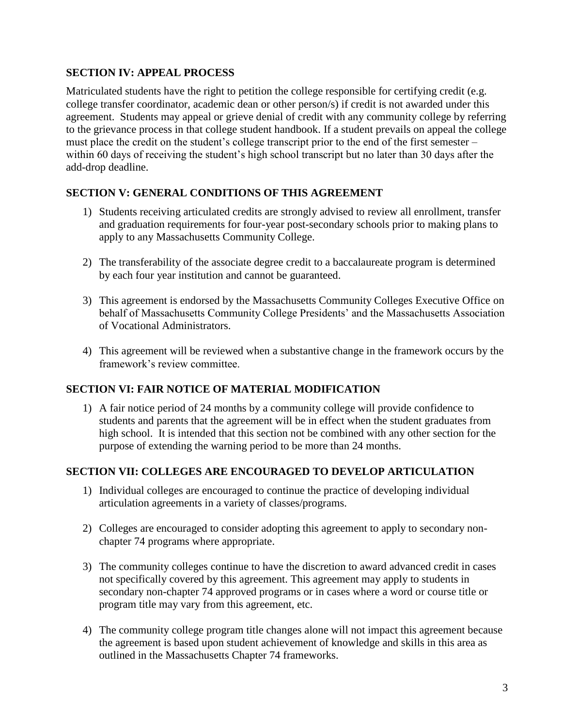#### **SECTION IV: APPEAL PROCESS**

Matriculated students have the right to petition the college responsible for certifying credit (e.g. college transfer coordinator, academic dean or other person/s) if credit is not awarded under this agreement. Students may appeal or grieve denial of credit with any community college by referring to the grievance process in that college student handbook. If a student prevails on appeal the college must place the credit on the student's college transcript prior to the end of the first semester – within 60 days of receiving the student's high school transcript but no later than 30 days after the add-drop deadline.

## **SECTION V: GENERAL CONDITIONS OF THIS AGREEMENT**

- 1) Students receiving articulated credits are strongly advised to review all enrollment, transfer and graduation requirements for four-year post-secondary schools prior to making plans to apply to any Massachusetts Community College.
- 2) The transferability of the associate degree credit to a baccalaureate program is determined by each four year institution and cannot be guaranteed.
- 3) This agreement is endorsed by the Massachusetts Community Colleges Executive Office on behalf of Massachusetts Community College Presidents' and the Massachusetts Association of Vocational Administrators.
- 4) This agreement will be reviewed when a substantive change in the framework occurs by the framework's review committee.

## **SECTION VI: FAIR NOTICE OF MATERIAL MODIFICATION**

1) A fair notice period of 24 months by a community college will provide confidence to students and parents that the agreement will be in effect when the student graduates from high school. It is intended that this section not be combined with any other section for the purpose of extending the warning period to be more than 24 months.

#### **SECTION VII: COLLEGES ARE ENCOURAGED TO DEVELOP ARTICULATION**

- 1) Individual colleges are encouraged to continue the practice of developing individual articulation agreements in a variety of classes/programs.
- 2) Colleges are encouraged to consider adopting this agreement to apply to secondary nonchapter 74 programs where appropriate.
- 3) The community colleges continue to have the discretion to award advanced credit in cases not specifically covered by this agreement. This agreement may apply to students in secondary non-chapter 74 approved programs or in cases where a word or course title or program title may vary from this agreement, etc.
- 4) The community college program title changes alone will not impact this agreement because the agreement is based upon student achievement of knowledge and skills in this area as outlined in the Massachusetts Chapter 74 frameworks.